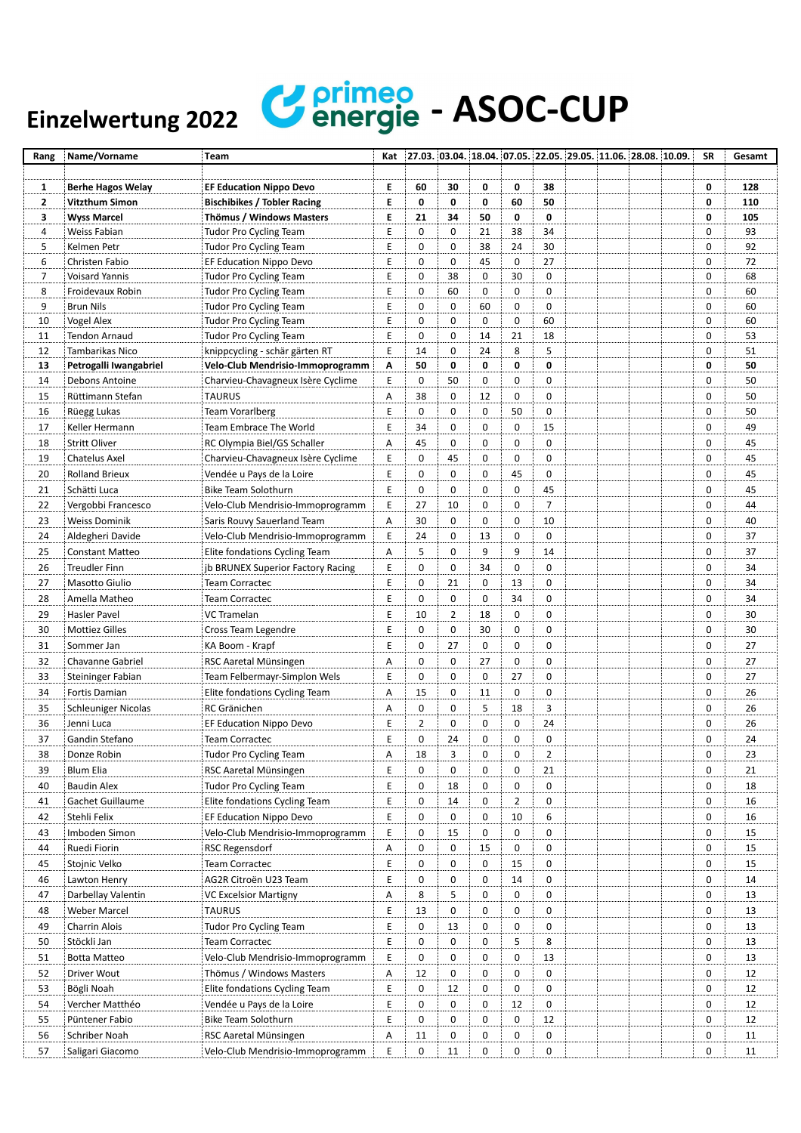## Einzelwertung 2022 **Continued** - ASOC-CUP

| Rang                    | Name/Vorname                             | Team                                                               | Kat |             |                |    |                |             |  | $27.03.$ 03.04. 18.04. 07.05. 22.05. 29.05. 11.06. 28.08. 10.09. | <b>SR</b>   | Gesamt |
|-------------------------|------------------------------------------|--------------------------------------------------------------------|-----|-------------|----------------|----|----------------|-------------|--|------------------------------------------------------------------|-------------|--------|
|                         |                                          |                                                                    |     |             |                |    |                |             |  |                                                                  |             |        |
| 1                       | <b>Berhe Hagos Welay</b>                 | <b>EF Education Nippo Devo</b>                                     | E   | 60          | 30             | 0  | 0              | 38          |  |                                                                  | 0           | 128    |
| $\overline{\mathbf{2}}$ | Vitzthum Simon                           | <b>Bischibikes / Tobler Racing</b>                                 | E   | 0           | $\mathbf 0$    | 0  | 60             | 50          |  |                                                                  | 0           | 110    |
| 3                       | <b>Wyss Marcel</b>                       | Thömus / Windows Masters                                           | E   | 21          | 34             | 50 | 0              | 0           |  |                                                                  | 0           | 105    |
| 4                       | Weiss Fabian                             | <b>Tudor Pro Cycling Team</b>                                      | Ε   | 0           | $\mathbf 0$    | 21 | 38             | 34          |  |                                                                  | $\mathbf 0$ | 93     |
| 5                       | Kelmen Petr                              | <b>Tudor Pro Cycling Team</b>                                      | Е   | 0           | 0              | 38 | 24             | 30          |  |                                                                  | 0           | 92     |
| 6                       | Christen Fabio                           | EF Education Nippo Devo                                            | Ε   | 0           | $\mathbf 0$    | 45 | 0              | 27          |  |                                                                  | $\mathbf 0$ | 72     |
| $\overline{7}$          | <b>Voisard Yannis</b>                    | <b>Tudor Pro Cycling Team</b>                                      | E   | 0           | 38             | 0  | 30             | $\mathbf 0$ |  |                                                                  | $\mathbf 0$ | 68     |
| 8                       | Froidevaux Robin                         | <b>Tudor Pro Cycling Team</b>                                      | E   | 0           | 60             | 0  | 0              | $\mathbf 0$ |  |                                                                  | 0           | 60     |
| 9                       | <b>Brun Nils</b>                         | <b>Tudor Pro Cycling Team</b>                                      | Ε   | 0           | $\mathbf 0$    | 60 | 0              | 0           |  |                                                                  | $\mathbf 0$ | 60     |
| 10                      | Vogel Alex                               | <b>Tudor Pro Cycling Team</b>                                      | Ε   | 0           | $\mathbf 0$    | 0  | 0              | 60          |  |                                                                  | 0           | 60     |
| 11                      | <b>Tendon Arnaud</b>                     | <b>Tudor Pro Cycling Team</b>                                      | Ε   | 0           | $\mathbf 0$    | 14 | 21             | 18          |  |                                                                  | 0           | 53     |
| 12                      | Tambarikas Nico                          |                                                                    | Ε   | 14          | $\mathbf 0$    | 24 | 8              | 5           |  |                                                                  | $\mathbf 0$ | 51     |
| 13                      |                                          | knippcycling - schär gärten RT<br>Velo-Club Mendrisio-Immoprogramm | Α   | 50          | $\mathbf 0$    | 0  | 0              | 0           |  |                                                                  | 0           | 50     |
| 14                      | Petrogalli Iwangabriel<br>Debons Antoine |                                                                    | Е   | 0           | 50             | 0  | 0              | $\mathbf 0$ |  |                                                                  | 0           | 50     |
|                         |                                          | Charvieu-Chavagneux Isère Cyclime                                  |     |             |                |    |                |             |  |                                                                  |             |        |
| 15                      | Rüttimann Stefan                         | <b>TAURUS</b>                                                      | Α   | 38          | $\pmb{0}$      | 12 | 0              | 0           |  |                                                                  | 0           | 50     |
| 16                      | Rüegg Lukas                              | <b>Team Vorarlberg</b>                                             | E   | 0           | $\mathbf 0$    | 0  | 50             | 0           |  |                                                                  | 0           | 50     |
| 17                      | Keller Hermann                           | Team Embrace The World                                             | Ε   | 34          | $\mathbf 0$    | 0  | 0              | 15          |  |                                                                  | 0           | 49     |
| 18                      | <b>Stritt Oliver</b>                     | RC Olympia Biel/GS Schaller                                        | Α   | 45          | $\mathbf 0$    | 0  | 0              | 0           |  |                                                                  | 0           | 45     |
| 19                      | Chatelus Axel                            | Charvieu-Chavagneux Isère Cyclime                                  | Е   | 0           | 45             | 0  | 0              | $\mathbf 0$ |  |                                                                  | 0           | 45     |
| 20                      | <b>Rolland Brieux</b>                    | Vendée u Pays de la Loire                                          | Ε   | 0           | $\mathbf 0$    | 0  | 45             | $\mathbf 0$ |  |                                                                  | $\mathbf 0$ | 45     |
| 21                      | Schätti Luca                             | Bike Team Solothurn                                                | Е   | 0           | 0              | 0  | 0              | 45          |  |                                                                  | 0           | 45     |
| 22                      | Vergobbi Francesco                       | Velo-Club Mendrisio-Immoprogramm                                   | Е   | 27          | 10             | 0  | 0              | 7           |  |                                                                  | 0           | 44     |
| 23                      | Weiss Dominik                            | Saris Rouvy Sauerland Team                                         | Α   | 30          | $\mathbf 0$    | 0  | 0              | 10          |  |                                                                  | 0           | 40     |
| 24                      | Aldegheri Davide                         | Velo-Club Mendrisio-Immoprogramm                                   | Ε   | 24          | $\mathbf 0$    | 13 | 0              | $\mathbf 0$ |  |                                                                  | $\mathbf 0$ | 37     |
| 25                      | <b>Constant Matteo</b>                   | Elite fondations Cycling Team                                      | Α   | 5           | $\mathbf 0$    | 9  | 9              | 14          |  |                                                                  | $\mathbf 0$ | 37     |
| 26                      | <b>Treudler Finn</b>                     | jb BRUNEX Superior Factory Racing                                  | Е   | 0           | 0              | 34 | 0              | $\mathbf 0$ |  |                                                                  | 0           | 34     |
| 27                      | <b>Masotto Giulio</b>                    | <b>Team Corractec</b>                                              | E   | 0           | 21             | 0  | 13             | $\mathbf 0$ |  |                                                                  | $\mathbf 0$ | 34     |
| 28                      | Amella Matheo                            | Team Corractec                                                     | Ε   | 0           | $\mathbf 0$    | 0  | 34             | $\mathbf 0$ |  |                                                                  | 0           | 34     |
|                         |                                          |                                                                    |     |             |                |    | 0              |             |  |                                                                  |             |        |
| 29                      | Hasler Pavel                             | VC Tramelan                                                        | E   | 10          | $\overline{2}$ | 18 |                | $\mathbf 0$ |  |                                                                  | 0           | 30     |
| 30                      | <b>Mottiez Gilles</b>                    | Cross Team Legendre                                                | Е   | 0           | $\pmb{0}$      | 30 | 0              | 0           |  |                                                                  | 0           | 30     |
| 31                      | Sommer Jan                               | KA Boom - Krapf                                                    | E   | 0           | 27             | 0  | 0              | 0           |  |                                                                  | 0           | 27     |
| 32                      | Chavanne Gabriel                         | RSC Aaretal Münsingen                                              | Α   | 0           | 0              | 27 | 0              | $\mathbf 0$ |  |                                                                  | 0           | 27     |
| 33                      | Steininger Fabian                        | Team Felbermayr-Simplon Wels                                       | Ε   | 0           | $\mathbf 0$    | 0  | 27             | 0           |  |                                                                  | 0           | 27     |
| 34                      | Fortis Damian                            | Elite fondations Cycling Team                                      | Α   | 15          | $\mathbf 0$    | 11 | 0              | $\mathbf 0$ |  |                                                                  | 0           | 26     |
| 35                      | <b>Schleuniger Nicolas</b>               | RC Gränichen                                                       | Α   | 0           | $\mathbf 0$    | 5  | 18             | 3           |  |                                                                  | 0           | 26     |
| 36                      | Jenni Luca                               | EF Education Nippo Devo                                            | Е   | 2           | 0              | 0  | 0              | 24          |  |                                                                  | 0           | 26     |
| 37                      | Gandin Stefano                           | Team Corractec                                                     | Ε   | 0           | 24             | 0  | 0              | 0           |  |                                                                  | $\mathbf 0$ | 24     |
| 38                      | Donze Robin                              | <b>Tudor Pro Cycling Team</b>                                      | А   | 18          | З              | 0  | 0              | 2           |  |                                                                  | 0           | 23     |
| 39                      | Blum Elia                                | RSC Aaretal Münsingen                                              | Ε   | 0           | 0              | 0  | 0              | 21          |  |                                                                  | 0           | 21     |
| 40                      | <b>Baudin Alex</b>                       | <b>Tudor Pro Cycling Team</b>                                      | Ε   | 0           | 18             | 0  | 0              | 0           |  |                                                                  | 0           | 18     |
| 41                      | Gachet Guillaume                         | Elite fondations Cycling Team                                      | Е   | 0           | 14             | 0  | $\overline{2}$ | $\mathbf 0$ |  |                                                                  | 0           | 16     |
| 42                      | Stehli Felix                             | EF Education Nippo Devo                                            | Ε   | 0           | 0              | 0  | 10             | 6           |  |                                                                  | 0           | 16     |
| 43                      | Imboden Simon                            | Velo-Club Mendrisio-Immoprogramm                                   | Ε   | 0           | 15             | 0  | 0              | 0           |  |                                                                  | 0           | 15     |
|                         |                                          |                                                                    |     |             |                |    |                |             |  |                                                                  |             |        |
| 44                      | Ruedi Fiorin                             | RSC Regensdorf                                                     | Α   | 0           | 0              | 15 | 0              | 0           |  |                                                                  | 0           | 15     |
| 45                      | Stojnic Velko                            | <b>Team Corractec</b>                                              | Ε   | 0           | 0              | 0  | 15             | 0           |  |                                                                  | 0           | 15     |
| 46                      | Lawton Henry                             | AG2R Citroën U23 Team                                              | Ε   | 0           | 0              | 0  | 14             | 0           |  |                                                                  | 0           | 14     |
| 47                      | Darbellay Valentin                       | <b>VC Excelsior Martigny</b>                                       | Α   | 8           | 5              | 0  | 0              | 0           |  |                                                                  | 0           | 13     |
| 48                      | Weber Marcel                             | <b>TAURUS</b>                                                      | Е   | 13          | 0              | 0  | 0              | 0           |  |                                                                  | 0           | 13     |
| 49                      | Charrin Alois                            | <b>Tudor Pro Cycling Team</b>                                      | Е   | 0           | 13             | 0  | 0              | 0           |  |                                                                  | 0           | 13     |
| 50                      | Stöckli Jan                              | <b>Team Corractec</b>                                              | Е   | 0           | 0              | 0  | 5              | 8           |  |                                                                  | 0           | 13     |
| 51                      | <b>Botta Matteo</b>                      | Velo-Club Mendrisio-Immoprogramm                                   | Е   | $\mathbf 0$ | 0              | 0  | 0              | 13          |  |                                                                  | 0           | 13     |
| 52                      | Driver Wout                              | Thömus / Windows Masters                                           | Α   | 12          | 0              | 0  | 0              | 0           |  |                                                                  | 0           | 12     |
| 53                      | Bögli Noah                               | Elite fondations Cycling Team                                      | Ε   | 0           | 12             | 0  | 0              | 0           |  |                                                                  | 0           | 12     |
| 54                      | Vercher Matthéo                          | Vendée u Pays de la Loire                                          | E   | 0           | 0              | 0  | 12             | 0           |  |                                                                  | 0           | 12     |
| 55                      | Püntener Fabio                           | Bike Team Solothurn                                                | Ε   | 0           | 0              | 0  | 0              | 12          |  |                                                                  | 0           | 12     |
| 56                      | Schriber Noah                            | RSC Aaretal Münsingen                                              | Α   | 11          | 0              | 0  | 0              | 0           |  |                                                                  | 0           | 11     |
| 57                      |                                          | Velo-Club Mendrisio-Immoprogramm                                   | Ε   | 0           | 11             | 0  | 0              | $\mathbf 0$ |  |                                                                  | 0           | 11     |
|                         | Saligari Giacomo                         |                                                                    |     |             |                |    |                |             |  |                                                                  |             |        |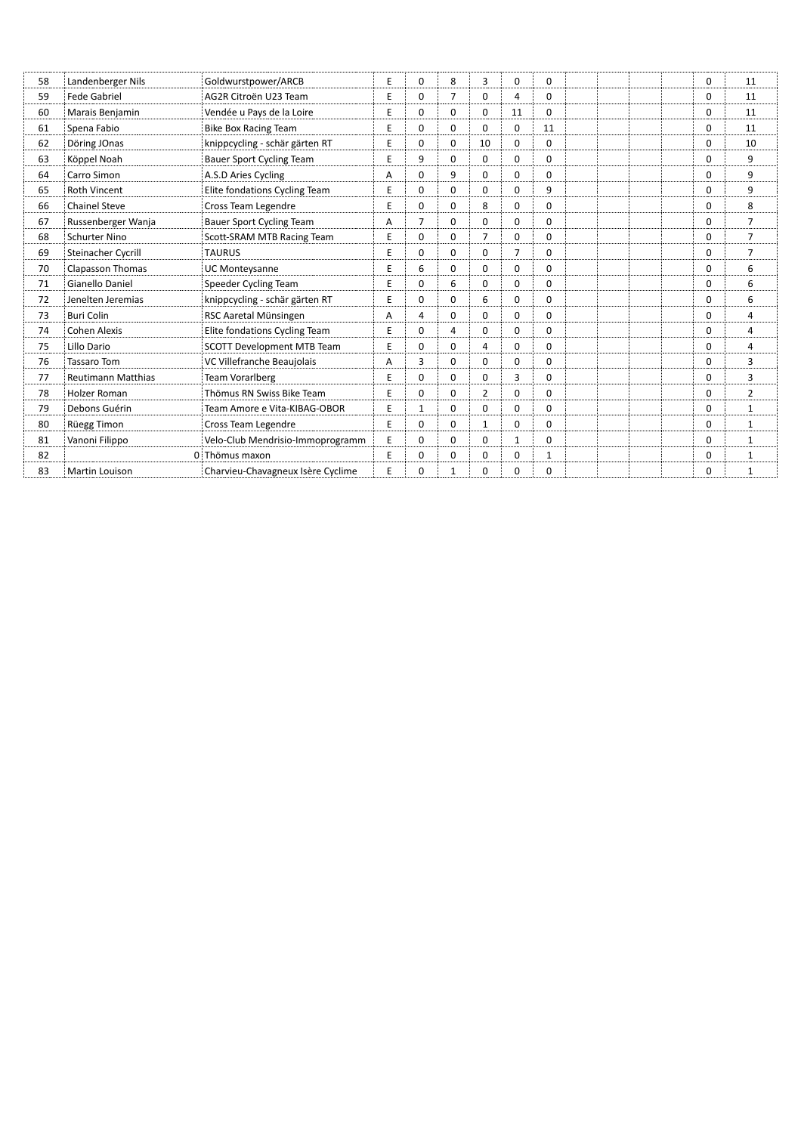| Landenberger Nils         | Goldwurstpower/ARCB               | Ε              | $\mathbf 0$    | 8              | 3              | $\Omega$     | 0           |  |  | $\Omega$ | 11             |
|---------------------------|-----------------------------------|----------------|----------------|----------------|----------------|--------------|-------------|--|--|----------|----------------|
| Fede Gabriel              | AG2R Citroën U23 Team             | E              | $\Omega$       | $\overline{7}$ | $\Omega$       | 4            | $\Omega$    |  |  | $\Omega$ | 11             |
| Marais Benjamin           | Vendée u Pays de la Loire         | E              | $\mathbf 0$    | $\mathbf 0$    | $\mathbf 0$    | 11           | 0           |  |  | $\Omega$ | 11             |
| Spena Fabio               | <b>Bike Box Racing Team</b>       | E              | $\mathbf 0$    | $\mathbf 0$    | 0              | $\mathbf 0$  | 11          |  |  | $\Omega$ | 11             |
| Döring JOnas              | knippcycling - schär gärten RT    | E              | 0              | $\mathbf 0$    | 10             | $\Omega$     | 0           |  |  | 0        | 10             |
| Köppel Noah               | <b>Bauer Sport Cycling Team</b>   | E              | 9              | $\mathbf 0$    | 0              | $\Omega$     | 0           |  |  | $\Omega$ | 9              |
| Carro Simon               | A.S.D Aries Cycling               | Α              | $\Omega$       | 9              | $\Omega$       | $\Omega$     | 0           |  |  | $\Omega$ | 9              |
| Roth Vincent              | Elite fondations Cycling Team     | Ε              | $\Omega$       | $\Omega$       | $\Omega$       | $\Omega$     | 9           |  |  | $\Omega$ | 9              |
| <b>Chainel Steve</b>      | Cross Team Legendre               | E              | $\Omega$       | $\mathbf 0$    | 8              | $\mathbf 0$  | 0           |  |  | 0        | 8              |
| Russenberger Wanja        | <b>Bauer Sport Cycling Team</b>   | Α              | $\overline{7}$ | $\Omega$       | $\Omega$       | $\Omega$     | 0           |  |  | $\Omega$ | $\overline{7}$ |
| <b>Schurter Nino</b>      | Scott-SRAM MTB Racing Team        | E              | $\mathbf 0$    | $\mathbf 0$    | 7              | $\mathbf 0$  | 0           |  |  | $\Omega$ | $\overline{7}$ |
| Steinacher Cycrill        | <b>TAURUS</b>                     | E              | $\Omega$       | $\mathbf 0$    | 0              | 7            | 0           |  |  | $\Omega$ | $\overline{7}$ |
| <b>Clapasson Thomas</b>   | <b>UC Monteysanne</b>             | Ε              | 6              | $\mathbf 0$    | 0              | 0            | 0           |  |  | 0        | 6              |
| Gianello Daniel           | Speeder Cycling Team              | Ε              | $\Omega$       | 6              | $\Omega$       | $\Omega$     | 0           |  |  | $\Omega$ | 6              |
| Jenelten Jeremias         | knippcycling - schär gärten RT    | Ε              | $\Omega$       | $\Omega$       | 6              | $\Omega$     | 0           |  |  | $\Omega$ | 6              |
| <b>Buri Colin</b>         | RSC Aaretal Münsingen             | Α              | 4              | $\mathbf 0$    | 0              | $\Omega$     | 0           |  |  | $\Omega$ | 4              |
| <b>Cohen Alexis</b>       | Elite fondations Cycling Team     | E              | $\mathbf 0$    | $\overline{4}$ | $\mathbf 0$    | $\Omega$     | $\mathbf 0$ |  |  | $\Omega$ | 4              |
| Lillo Dario               | <b>SCOTT Development MTB Team</b> | E              | $\Omega$       | $\mathbf 0$    | 4              | $\Omega$     | 0           |  |  | $\Omega$ | 4              |
| <b>Tassaro Tom</b>        | VC Villefranche Beaujolais        | Α              | 3              | $\mathbf 0$    | $\Omega$       | 0            | 0           |  |  | $\Omega$ | 3              |
| <b>Reutimann Matthias</b> | Team Vorarlberg                   | Е              | $\Omega$       | $\mathbf 0$    | 0              | 3            | 0           |  |  | $\Omega$ | 3              |
| <b>Holzer Roman</b>       | Thömus RN Swiss Bike Team         | Е              | $\Omega$       | $\mathbf 0$    | $\overline{2}$ | $\Omega$     | 0           |  |  | 0        | $\overline{2}$ |
| Debons Guérin             | Team Amore e Vita-KIBAG-OBOR      | E              | $\mathbf{1}$   | $\Omega$       | $\Omega$       | $\Omega$     | 0           |  |  | $\Omega$ | $\mathbf{1}$   |
| Rüegg Timon               | Cross Team Legendre               | Ε              | $\Omega$       | $\mathbf 0$    | 1              | $\Omega$     | 0           |  |  | $\Omega$ | $\mathbf{1}$   |
| Vanoni Filippo            | Velo-Club Mendrisio-Immoprogramm  | E              | $\Omega$       | $\Omega$       | $\Omega$       | $\mathbf{1}$ | 0           |  |  | $\Omega$ | $\mathbf{1}$   |
|                           |                                   | E              | $\mathbf 0$    | $\mathbf 0$    | $\mathbf 0$    | 0            | 1           |  |  | 0        | $\mathbf{1}$   |
| Martin Louison            | Charvieu-Chavagneux Isère Cyclime | E              | 0              | 1              | $\Omega$       | $\Omega$     | 0           |  |  | $\Omega$ | 1              |
|                           |                                   | 0 Thömus maxon |                |                |                |              |             |  |  |          |                |